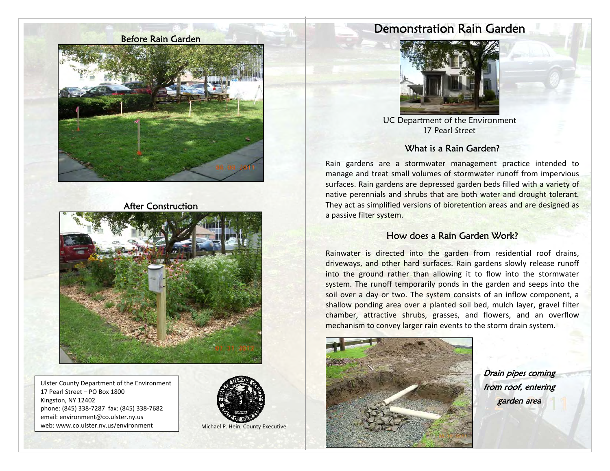Before Rain Garden



#### After Construction



Ulster County Department of the Environment 17 Pearl Street – PO Box 1800 Kingston, NY 12402 phone: (845) 338-7287 fax: (845) 338-7682 email: environment@co.ulster.ny.us web: www.co.ulster.ny.us/environment Michael P. Hein, County Executive



# Demonstration Rain Garden



UC Department of the Environment 17 Pearl Street

#### What is a Rain Garden?

Rain gardens are a stormwater management practice intended to manage and treat small volumes of stormwater runoff from impervious surfaces. Rain gardens are depressed garden beds filled with a variety of native perennials and shrubs that are both water and drought tolerant. They act as simplified versions of bioretention areas and are designed as a passive filter system.

#### How does a Rain Garden Work?

Rainwater is directed into the garden from residential roof drains, driveways, and other hard surfaces. Rain gardens slowly release runoff into the ground rather than allowing it to flow into the stormwater system. The runoff temporarily ponds in the garden and seeps into the soil over a day or two. The system consists of an inflow component, a shallow ponding area over a planted soil bed, mulch layer, gravel filter chamber, attractive shrubs, grasses, and flowers, and an overflow mechanism to convey larger rain events to the storm drain system.



Drain pipes coming from roof, entering garden area